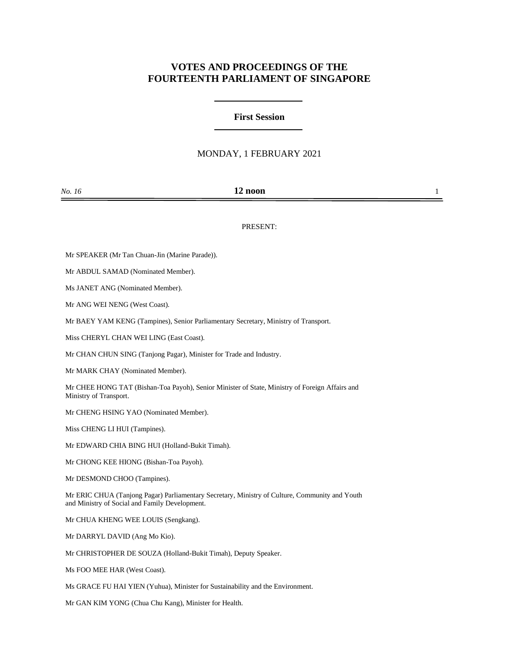# **VOTES AND PROCEEDINGS OF THE FOURTEENTH PARLIAMENT OF SINGAPORE**

## **First Session**

## MONDAY, 1 FEBRUARY 2021

| No. 16 | 12 noon |  |
|--------|---------|--|
|        |         |  |

### PRESENT:

Mr SPEAKER (Mr Tan Chuan-Jin (Marine Parade)).

Mr ABDUL SAMAD (Nominated Member).

Ms JANET ANG (Nominated Member).

Mr ANG WEI NENG (West Coast).

Mr BAEY YAM KENG (Tampines), Senior Parliamentary Secretary, Ministry of Transport.

Miss CHERYL CHAN WEI LING (East Coast).

Mr CHAN CHUN SING (Tanjong Pagar), Minister for Trade and Industry.

Mr MARK CHAY (Nominated Member).

Mr CHEE HONG TAT (Bishan-Toa Payoh), Senior Minister of State, Ministry of Foreign Affairs and Ministry of Transport.

Mr CHENG HSING YAO (Nominated Member).

Miss CHENG LI HUI (Tampines).

Mr EDWARD CHIA BING HUI (Holland-Bukit Timah).

Mr CHONG KEE HIONG (Bishan-Toa Payoh).

Mr DESMOND CHOO (Tampines).

Mr ERIC CHUA (Tanjong Pagar) Parliamentary Secretary, Ministry of Culture, Community and Youth and Ministry of Social and Family Development.

Mr CHUA KHENG WEE LOUIS (Sengkang).

Mr DARRYL DAVID (Ang Mo Kio).

Mr CHRISTOPHER DE SOUZA (Holland-Bukit Timah), Deputy Speaker.

Ms FOO MEE HAR (West Coast).

Ms GRACE FU HAI YIEN (Yuhua), Minister for Sustainability and the Environment.

Mr GAN KIM YONG (Chua Chu Kang), Minister for Health.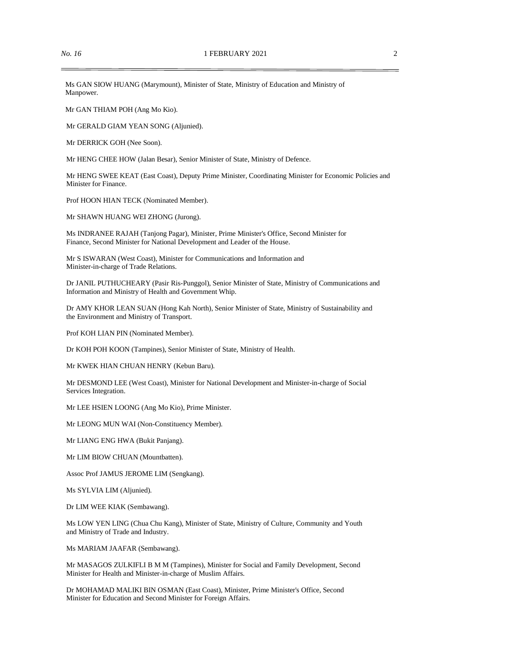Ms GAN SIOW HUANG (Marymount), Minister of State, Ministry of Education and Ministry of Manpower.

Mr GAN THIAM POH (Ang Mo Kio).

Mr GERALD GIAM YEAN SONG (Aljunied).

Mr DERRICK GOH (Nee Soon).

Mr HENG CHEE HOW (Jalan Besar), Senior Minister of State, Ministry of Defence.

Mr HENG SWEE KEAT (East Coast), Deputy Prime Minister, Coordinating Minister for Economic Policies and Minister for Finance.

Prof HOON HIAN TECK (Nominated Member).

Mr SHAWN HUANG WEI ZHONG (Jurong).

Ms INDRANEE RAJAH (Tanjong Pagar), Minister, Prime Minister's Office, Second Minister for Finance, Second Minister for National Development and Leader of the House.

Mr S ISWARAN (West Coast), Minister for Communications and Information and Minister-in-charge of Trade Relations.

Dr JANIL PUTHUCHEARY (Pasir Ris-Punggol), Senior Minister of State, Ministry of Communications and Information and Ministry of Health and Government Whip.

Dr AMY KHOR LEAN SUAN (Hong Kah North), Senior Minister of State, Ministry of Sustainability and the Environment and Ministry of Transport.

Prof KOH LIAN PIN (Nominated Member).

Dr KOH POH KOON (Tampines), Senior Minister of State, Ministry of Health.

Mr KWEK HIAN CHUAN HENRY (Kebun Baru).

Mr DESMOND LEE (West Coast), Minister for National Development and Minister-in-charge of Social Services Integration.

Mr LEE HSIEN LOONG (Ang Mo Kio), Prime Minister.

Mr LEONG MUN WAI (Non-Constituency Member).

Mr LIANG ENG HWA (Bukit Panjang).

Mr LIM BIOW CHUAN (Mountbatten).

Assoc Prof JAMUS JEROME LIM (Sengkang).

Ms SYLVIA LIM (Aljunied).

Dr LIM WEE KIAK (Sembawang).

Ms LOW YEN LING (Chua Chu Kang), Minister of State, Ministry of Culture, Community and Youth and Ministry of Trade and Industry.

Ms MARIAM JAAFAR (Sembawang).

Mr MASAGOS ZULKIFLI B M M (Tampines), Minister for Social and Family Development, Second Minister for Health and Minister-in-charge of Muslim Affairs.

Dr MOHAMAD MALIKI BIN OSMAN (East Coast), Minister, Prime Minister's Office, Second Minister for Education and Second Minister for Foreign Affairs.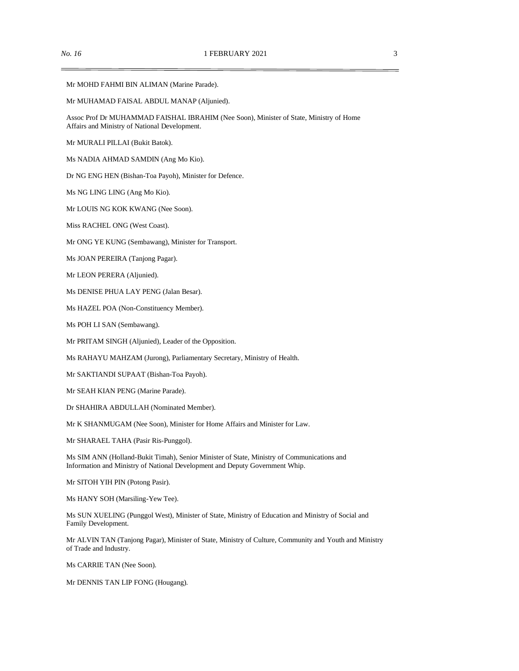Mr MOHD FAHMI BIN ALIMAN (Marine Parade).

Mr MUHAMAD FAISAL ABDUL MANAP (Aljunied).

Assoc Prof Dr MUHAMMAD FAISHAL IBRAHIM (Nee Soon), Minister of State, Ministry of Home Affairs and Ministry of National Development.

Mr MURALI PILLAI (Bukit Batok).

Ms NADIA AHMAD SAMDIN (Ang Mo Kio).

Dr NG ENG HEN (Bishan-Toa Payoh), Minister for Defence.

Ms NG LING LING (Ang Mo Kio).

Mr LOUIS NG KOK KWANG (Nee Soon).

Miss RACHEL ONG (West Coast).

Mr ONG YE KUNG (Sembawang), Minister for Transport.

Ms JOAN PEREIRA (Tanjong Pagar).

Mr LEON PERERA (Aljunied).

Ms DENISE PHUA LAY PENG (Jalan Besar).

Ms HAZEL POA (Non-Constituency Member).

Ms POH LI SAN (Sembawang).

Mr PRITAM SINGH (Aljunied), Leader of the Opposition.

Ms RAHAYU MAHZAM (Jurong), Parliamentary Secretary, Ministry of Health.

Mr SAKTIANDI SUPAAT (Bishan-Toa Payoh).

Mr SEAH KIAN PENG (Marine Parade).

Dr SHAHIRA ABDULLAH (Nominated Member).

Mr K SHANMUGAM (Nee Soon), Minister for Home Affairs and Minister for Law.

Mr SHARAEL TAHA (Pasir Ris-Punggol).

Ms SIM ANN (Holland-Bukit Timah), Senior Minister of State, Ministry of Communications and Information and Ministry of National Development and Deputy Government Whip.

Mr SITOH YIH PIN (Potong Pasir).

Ms HANY SOH (Marsiling-Yew Tee).

Ms SUN XUELING (Punggol West), Minister of State, Ministry of Education and Ministry of Social and Family Development.

Mr ALVIN TAN (Tanjong Pagar), Minister of State, Ministry of Culture, Community and Youth and Ministry of Trade and Industry.

Ms CARRIE TAN (Nee Soon).

Mr DENNIS TAN LIP FONG (Hougang).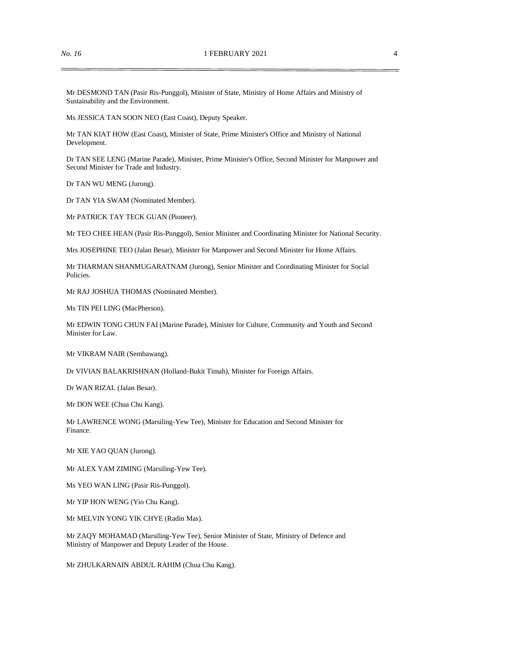Mr DESMOND TAN (Pasir Ris-Punggol), Minister of State, Ministry of Home Affairs and Ministry of Sustainability and the Environment.

Ms JESSICA TAN SOON NEO (East Coast), Deputy Speaker.

Mr TAN KIAT HOW (East Coast), Minister of State, Prime Minister's Office and Ministry of National Development.

Dr TAN SEE LENG (Marine Parade), Minister, Prime Minister's Office, Second Minister for Manpower and Second Minister for Trade and Industry.

Dr TAN WU MENG (Jurong).

Dr TAN YIA SWAM (Nominated Member).

Mr PATRICK TAY TECK GUAN (Pioneer).

Mr TEO CHEE HEAN (Pasir Ris-Punggol), Senior Minister and Coordinating Minister for National Security.

Mrs JOSEPHINE TEO (Jalan Besar), Minister for Manpower and Second Minister for Home Affairs.

Mr THARMAN SHANMUGARATNAM (Jurong), Senior Minister and Coordinating Minister for Social Policies.

Mr RAJ JOSHUA THOMAS (Nominated Member).

Ms TIN PEI LING (MacPherson).

Mr EDWIN TONG CHUN FAI (Marine Parade), Minister for Culture, Community and Youth and Second Minister for Law.

Mr VIKRAM NAIR (Sembawang).

Dr VIVIAN BALAKRISHNAN (Holland-Bukit Timah), Minister for Foreign Affairs.

Dr WAN RIZAL (Jalan Besar).

Mr DON WEE (Chua Chu Kang).

Mr LAWRENCE WONG (Marsiling-Yew Tee), Minister for Education and Second Minister for Finance.

Mr XIE YAO QUAN (Jurong).

Mr ALEX YAM ZIMING (Marsiling-Yew Tee).

Ms YEO WAN LING (Pasir Ris-Punggol).

Mr YIP HON WENG (Yio Chu Kang).

Mr MELVIN YONG YIK CHYE (Radin Mas).

Mr ZAQY MOHAMAD (Marsiling-Yew Tee), Senior Minister of State, Ministry of Defence and Ministry of Manpower and Deputy Leader of the House.

Mr ZHULKARNAIN ABDUL RAHIM (Chua Chu Kang).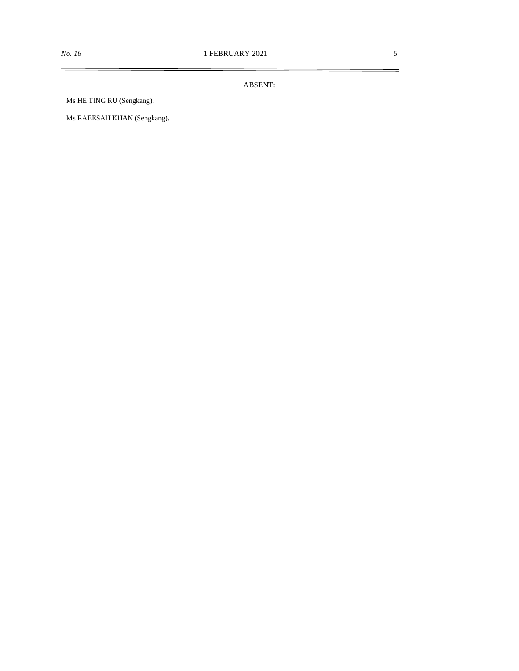\_\_\_\_\_\_\_\_\_\_\_\_\_\_\_\_\_\_\_\_\_\_\_\_\_\_\_\_\_\_\_\_

ABSENT:

Ms HE TING RU (Sengkang).

Ms RAEESAH KHAN (Sengkang).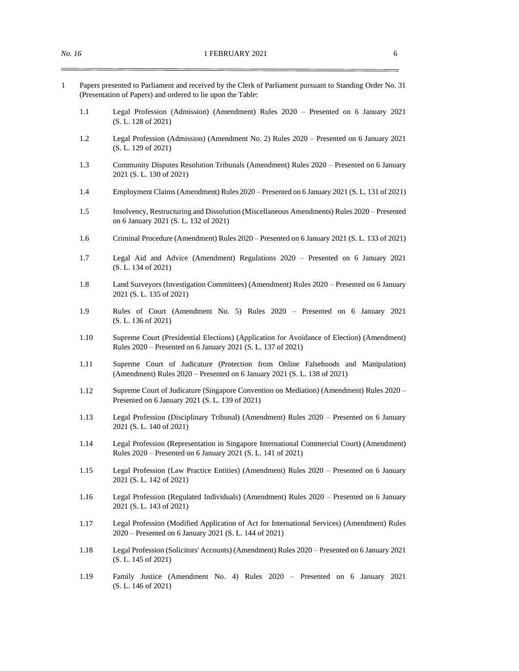- 1 Papers presented to Parliament and received by the Clerk of Parliament pursuant to Standing Order No. 31 (Presentation of Papers) and ordered to lie upon the Table:
	- 1.1 Legal Profession (Admission) (Amendment) Rules 2020 Presented on 6 January 2021 (S. L. 128 of 2021)
	- 1.2 Legal Profession (Admission) (Amendment No. 2) Rules 2020 Presented on 6 January 2021 (S. L. 129 of 2021)
	- 1.3 Community Disputes Resolution Tribunals (Amendment) Rules 2020 Presented on 6 January 2021 (S. L. 130 of 2021)
	- 1.4 Employment Claims (Amendment) Rules 2020 Presented on 6 January 2021 (S. L. 131 of 2021)
	- 1.5 Insolvency, Restructuring and Dissolution (Miscellaneous Amendments) Rules 2020 Presented on 6 January 2021 (S. L. 132 of 2021)
	- 1.6 Criminal Procedure (Amendment) Rules 2020 Presented on 6 January 2021 (S. L. 133 of 2021)
	- 1.7 Legal Aid and Advice (Amendment) Regulations 2020 Presented on 6 January 2021 (S. L. 134 of 2021)
	- 1.8 Land Surveyors (Investigation Committees) (Amendment) Rules 2020 Presented on 6 January 2021 (S. L. 135 of 2021)
	- 1.9 Rules of Court (Amendment No. 5) Rules 2020 Presented on 6 January 2021 (S. L. 136 of 2021)
	- 1.10 Supreme Court (Presidential Elections) (Application for Avoidance of Election) (Amendment) Rules 2020 – Presented on 6 January 2021 (S. L. 137 of 2021)
	- 1.11 Supreme Court of Judicature (Protection from Online Falsehoods and Manipulation) (Amendment) Rules 2020 – Presented on 6 January 2021 (S. L. 138 of 2021)
	- 1.12 Supreme Court of Judicature (Singapore Convention on Mediation) (Amendment) Rules 2020 Presented on 6 January 2021 (S. L. 139 of 2021)
	- 1.13 Legal Profession (Disciplinary Tribunal) (Amendment) Rules 2020 Presented on 6 January 2021 (S. L. 140 of 2021)
	- 1.14 Legal Profession (Representation in Singapore International Commercial Court) (Amendment) Rules 2020 – Presented on 6 January 2021 (S. L. 141 of 2021)
	- 1.15 Legal Profession (Law Practice Entities) (Amendment) Rules 2020 Presented on 6 January 2021 (S. L. 142 of 2021)
	- 1.16 Legal Profession (Regulated Individuals) (Amendment) Rules 2020 Presented on 6 January 2021 (S. L. 143 of 2021)
	- 1.17 Legal Profession (Modified Application of Act for International Services) (Amendment) Rules 2020 – Presented on 6 January 2021 (S. L. 144 of 2021)
	- 1.18 Legal Profession (Solicitors' Accounts) (Amendment) Rules 2020 Presented on 6 January 2021 (S. L. 145 of 2021)
	- 1.19 Family Justice (Amendment No. 4) Rules 2020 Presented on 6 January 2021 (S. L. 146 of 2021)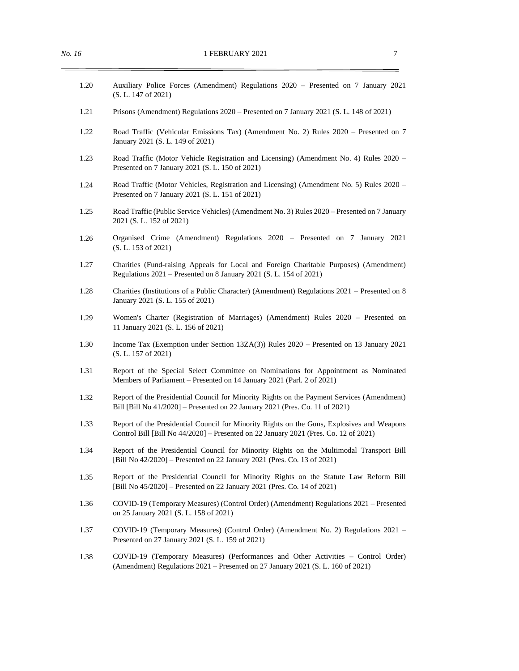- 1.20 Auxiliary Police Forces (Amendment) Regulations 2020 Presented on 7 January 2021 (S. L. 147 of 2021)
- 1.21 Prisons (Amendment) Regulations 2020 Presented on 7 January 2021 (S. L. 148 of 2021)
- 1.22 Road Traffic (Vehicular Emissions Tax) (Amendment No. 2) Rules 2020 Presented on 7 January 2021 (S. L. 149 of 2021)
- 1.23 Road Traffic (Motor Vehicle Registration and Licensing) (Amendment No. 4) Rules 2020 Presented on 7 January 2021 (S. L. 150 of 2021)
- 1.24 Road Traffic (Motor Vehicles, Registration and Licensing) (Amendment No. 5) Rules 2020 Presented on 7 January 2021 (S. L. 151 of 2021)
- 1.25 Road Traffic (Public Service Vehicles) (Amendment No. 3) Rules 2020 Presented on 7 January 2021 (S. L. 152 of 2021)
- 1.26 Organised Crime (Amendment) Regulations 2020 Presented on 7 January 2021 (S. L. 153 of 2021)
- 1.27 Charities (Fund-raising Appeals for Local and Foreign Charitable Purposes) (Amendment) Regulations 2021 – Presented on 8 January 2021 (S. L. 154 of 2021)
- 1.28 Charities (Institutions of a Public Character) (Amendment) Regulations 2021 Presented on 8 January 2021 (S. L. 155 of 2021)
- 1.29 Women's Charter (Registration of Marriages) (Amendment) Rules 2020 Presented on 11 January 2021 (S. L. 156 of 2021)
- 1.30 Income Tax (Exemption under Section 13ZA(3)) Rules 2020 Presented on 13 January 2021 (S. L. 157 of 2021)
- 1.31 Report of the Special Select Committee on Nominations for Appointment as Nominated Members of Parliament – Presented on 14 January 2021 (Parl. 2 of 2021)
- 1.32 Report of the Presidential Council for Minority Rights on the Payment Services (Amendment) Bill [Bill No 41/2020] – Presented on 22 January 2021 (Pres. Co. 11 of 2021)
- 1.33 Report of the Presidential Council for Minority Rights on the Guns, Explosives and Weapons Control Bill [Bill No 44/2020] – Presented on 22 January 2021 (Pres. Co. 12 of 2021)
- 1.34 Report of the Presidential Council for Minority Rights on the Multimodal Transport Bill [Bill No 42/2020] – Presented on 22 January 2021 (Pres. Co. 13 of 2021)
- 1.35 Report of the Presidential Council for Minority Rights on the Statute Law Reform Bill [Bill No 45/2020] – Presented on 22 January 2021 (Pres. Co. 14 of 2021)
- 1.36 COVID-19 (Temporary Measures) (Control Order) (Amendment) Regulations 2021 Presented on 25 January 2021 (S. L. 158 of 2021)
- 1.37 COVID-19 (Temporary Measures) (Control Order) (Amendment No. 2) Regulations 2021 Presented on 27 January 2021 (S. L. 159 of 2021)
- 1.38 COVID-19 (Temporary Measures) (Performances and Other Activities Control Order) (Amendment) Regulations 2021 – Presented on 27 January 2021 (S. L. 160 of 2021)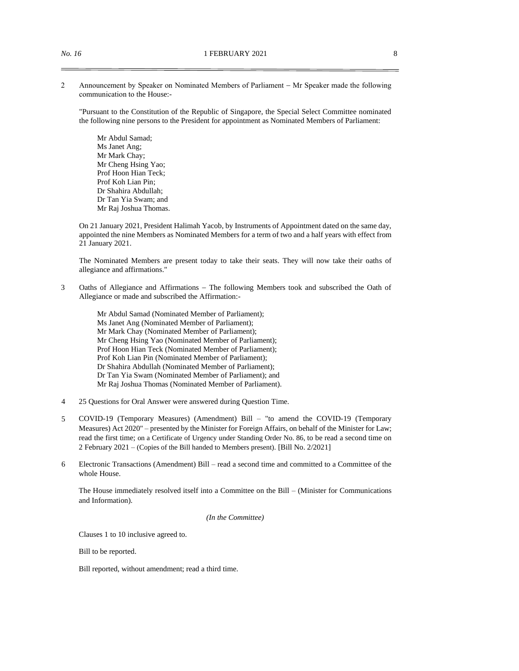2 Announcement by Speaker on Nominated Members of Parliament − Mr Speaker made the following communication to the House:-

"Pursuant to the Constitution of the Republic of Singapore, the Special Select Committee nominated the following nine persons to the President for appointment as Nominated Members of Parliament:

Mr Abdul Samad; Ms Janet Ang; Mr Mark Chay; Mr Cheng Hsing Yao; Prof Hoon Hian Teck; Prof Koh Lian Pin; Dr Shahira Abdullah; Dr Tan Yia Swam; and Mr Raj Joshua Thomas.

On 21 January 2021, President Halimah Yacob, by Instruments of Appointment dated on the same day, appointed the nine Members as Nominated Members for a term of two and a half years with effect from 21 January 2021.

The Nominated Members are present today to take their seats. They will now take their oaths of allegiance and affirmations."

3 Oaths of Allegiance and Affirmations – The following Members took and subscribed the Oath of Allegiance or made and subscribed the Affirmation:-

> Mr Abdul Samad (Nominated Member of Parliament); Ms Janet Ang (Nominated Member of Parliament); Mr Mark Chay (Nominated Member of Parliament); Mr Cheng Hsing Yao (Nominated Member of Parliament); Prof Hoon Hian Teck (Nominated Member of Parliament); Prof Koh Lian Pin (Nominated Member of Parliament); Dr Shahira Abdullah (Nominated Member of Parliament); Dr Tan Yia Swam (Nominated Member of Parliament); and Mr Raj Joshua Thomas (Nominated Member of Parliament).

- 4 25 Questions for Oral Answer were answered during Question Time.
- 5 COVID-19 (Temporary Measures) (Amendment) Bill "to amend the COVID-19 (Temporary Measures) Act 2020" – presented by the Minister for Foreign Affairs, on behalf of the Minister for Law; read the first time; on a Certificate of Urgency under Standing Order No. 86, to be read a second time on 2 February 2021 – (Copies of the Bill handed to Members present). [Bill No. 2/2021]
- 6 Electronic Transactions (Amendment) Bill read a second time and committed to a Committee of the whole House.

The House immediately resolved itself into a Committee on the Bill – (Minister for Communications and Information).

*(In the Committee)*

Clauses 1 to 10 inclusive agreed to.

Bill to be reported.

Bill reported, without amendment; read a third time.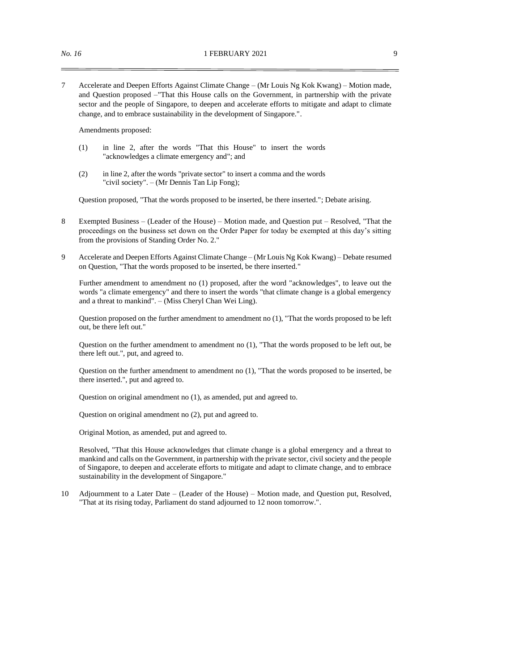7 Accelerate and Deepen Efforts Against Climate Change – (Mr Louis Ng Kok Kwang) – Motion made, and Question proposed –"That this House calls on the Government, in partnership with the private sector and the people of Singapore, to deepen and accelerate efforts to mitigate and adapt to climate change, and to embrace sustainability in the development of Singapore.".

Amendments proposed:

- (1) in line 2, after the words "That this House" to insert the words "acknowledges a climate emergency and"; and
- (2) in line 2, after the words "private sector" to insert a comma and the words "civil society". – (Mr Dennis Tan Lip Fong);

Question proposed, "That the words proposed to be inserted, be there inserted."; Debate arising.

- 8 Exempted Business (Leader of the House) Motion made, and Question put Resolved, "That the proceedings on the business set down on the Order Paper for today be exempted at this day's sitting from the provisions of Standing Order No. 2."
- 9 Accelerate and Deepen Efforts Against Climate Change (Mr Louis Ng Kok Kwang) Debate resumed on Question, "That the words proposed to be inserted, be there inserted."

Further amendment to amendment no (1) proposed, after the word "acknowledges", to leave out the words "a climate emergency" and there to insert the words "that climate change is a global emergency and a threat to mankind". – (Miss Cheryl Chan Wei Ling).

Question proposed on the further amendment to amendment no (1), "That the words proposed to be left out, be there left out."

Question on the further amendment to amendment no (1), "That the words proposed to be left out, be there left out.", put, and agreed to.

Question on the further amendment to amendment no (1), "That the words proposed to be inserted, be there inserted.", put and agreed to.

Question on original amendment no (1), as amended, put and agreed to.

Question on original amendment no (2), put and agreed to.

Original Motion, as amended, put and agreed to.

Resolved, "That this House acknowledges that climate change is a global emergency and a threat to mankind and calls on the Government, in partnership with the private sector, civil society and the people of Singapore, to deepen and accelerate efforts to mitigate and adapt to climate change, and to embrace sustainability in the development of Singapore."

10 Adjournment to a Later Date – (Leader of the House) – Motion made, and Question put, Resolved, "That at its rising today, Parliament do stand adjourned to 12 noon tomorrow.".